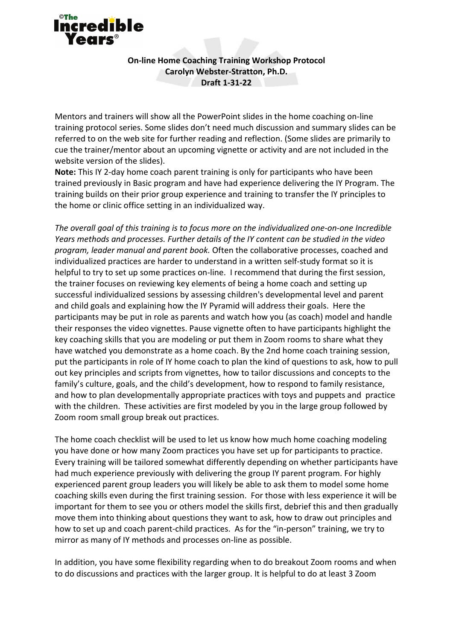

## **On-line Home Coaching Training Workshop Protocol Carolyn Webster-Stratton, Ph.D. Draft 1-31-22**

Mentors and trainers will show all the PowerPoint slides in the home coaching on-line training protocol series. Some slides don't need much discussion and summary slides can be referred to on the web site for further reading and reflection. (Some slides are primarily to cue the trainer/mentor about an upcoming vignette or activity and are not included in the website version of the slides).

**Note:** This IY 2-day home coach parent training is only for participants who have been trained previously in Basic program and have had experience delivering the IY Program. The training builds on their prior group experience and training to transfer the IY principles to the home or clinic office setting in an individualized way.

*The overall goal of this training is to focus more on the individualized one-on-one Incredible Years methods and processes. Further details of the IY content can be studied in the video program, leader manual and parent book.* Often the collaborative processes, coached and individualized practices are harder to understand in a written self-study format so it is helpful to try to set up some practices on-line. I recommend that during the first session, the trainer focuses on reviewing key elements of being a home coach and setting up successful individualized sessions by assessing children's developmental level and parent and child goals and explaining how the IY Pyramid will address their goals. Here the participants may be put in role as parents and watch how you (as coach) model and handle their responses the video vignettes. Pause vignette often to have participants highlight the key coaching skills that you are modeling or put them in Zoom rooms to share what they have watched you demonstrate as a home coach. By the 2nd home coach training session, put the participants in role of IY home coach to plan the kind of questions to ask, how to pull out key principles and scripts from vignettes, how to tailor discussions and concepts to the family's culture, goals, and the child's development, how to respond to family resistance, and how to plan developmentally appropriate practices with toys and puppets and practice with the children. These activities are first modeled by you in the large group followed by Zoom room small group break out practices.

The home coach checklist will be used to let us know how much home coaching modeling you have done or how many Zoom practices you have set up for participants to practice. Every training will be tailored somewhat differently depending on whether participants have had much experience previously with delivering the group IY parent program. For highly experienced parent group leaders you will likely be able to ask them to model some home coaching skills even during the first training session. For those with less experience it will be important for them to see you or others model the skills first, debrief this and then gradually move them into thinking about questions they want to ask, how to draw out principles and how to set up and coach parent-child practices. As for the "in-person" training, we try to mirror as many of IY methods and processes on-line as possible.

In addition, you have some flexibility regarding when to do breakout Zoom rooms and when to do discussions and practices with the larger group. It is helpful to do at least 3 Zoom